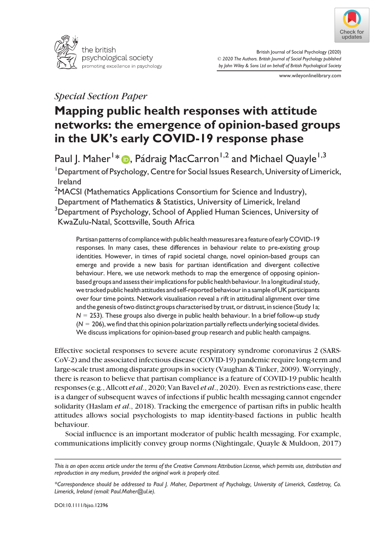



British Journal of Social Psychology (2020) © 2020 The Authors. British Journal of Social Psychology published by John Wiley & Sons Ltd on behalf of British Psychological Society

www.wileyonlinelibrary.com

## Special Section Paper

# Mapping public health responses with attitude networks: the emergence of opinion-based groups in the UK's early COVID-19 response phase

Paul J. Maher <sup>I</sup> [\\*](https://orcid.org/0000-0002-0119-0411) @, Pádraig MacCarron <sup>I,2</sup> and Michael Quayle <sup>I,3</sup>

<sup>1</sup>Department of Psychology, Centre for Social Issues Research, University of Limerick, Ireland

 $^2$ MACSI (Mathematics Applications Consortium for Science and Industry), Department of Mathematics & Statistics, University of Limerick, Ireland  $^3$ Department of Psychology, School of Applied Human Sciences, University of KwaZulu-Natal, Scottsville, South Africa

Partisan patterns of compliance with public health measures are a feature of early COVID-19 responses. In many cases, these differences in behaviour relate to pre-existing group identities. However, in times of rapid societal change, novel opinion-based groups can emerge and provide a new basis for partisan identification and divergent collective behaviour. Here, we use network methods to map the emergence of opposing opinionbased groups and assess their implicationsfor public health behaviour. In a longitudinal study, we tracked public health attitudes and self-reported behaviour in a sample ofUK participants over four time points. Network visualisation reveal a rift in attitudinal alignment over time and the genesis of two distinct groups characterised by trust, or distrust, in science (Study 1a;  $N = 253$ ). These groups also diverge in public health behaviour. In a brief follow-up study  $(N = 206)$ , we find that this opinion polarization partially reflects underlying societal divides. We discuss implications for opinion-based group research and public health campaigns.

Effective societal responses to severe acute respiratory syndrome coronavirus 2 (SARS-CoV-2) and the associated infectious disease (COVID-19) pandemic require long-term and large-scale trust among disparate groups in society (Vaughan & Tinker, 2009).Worryingly, there is reason to believe that partisan compliance is a feature of COVID-19 public health responses (e.g., Allcott et al., 2020; Van Bavel et al., 2020). Even as restrictions ease, there is a danger of subsequent waves of infections if public health messaging cannot engender solidarity (Haslam *et al.*, 2018). Tracking the emergence of partisan rifts in public health attitudes allows social psychologists to map identity-based factions in public health behaviour.

Social influence is an important moderator of public health messaging. For example, communications implicitly convey group norms (Nightingale, Quayle & Muldoon, 2017)

This is an open access article under the terms of the [Creative Commons Attribution](http://creativecommons.org/licenses/by/4.0/) License, which permits use, distribution and reproduction in any medium, provided the original work is properly cited.

<sup>\*</sup>Correspondence should be addressed to Paul J. Maher, Department of Psychology, University of Limerick, Castletroy, Co. Limerick, Ireland (email: [Paul.Maher@ul.ie](mailto:)).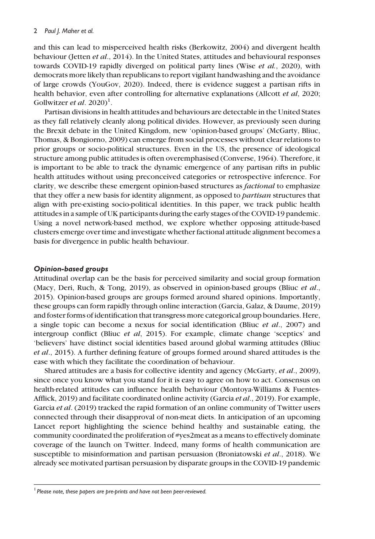and this can lead to misperceived health risks (Berkowitz, 2004) and divergent health behaviour (Jetten et al., 2014). In the United States, attitudes and behavioural responses towards COVID-19 rapidly diverged on political party lines (Wise et al., 2020), with democrats more likely than republicans to report vigilant handwashing and the avoidance of large crowds (YouGov, 2020). Indeed, there is evidence suggest a partisan rifts in health behavior, even after controlling for alternative explanations (Allcott et al, 2020; Gollwitzer *et al.*  $2020$ <sup>1</sup>.

Partisan divisions in health attitudes and behaviours are detectable in the United States as they fall relatively cleanly along political divides. However, as previously seen during the Brexit debate in the United Kingdom, new 'opinion-based groups' (McGarty, Bliuc, Thomas, & Bongiorno, 2009) can emerge from social processes without clear relations to prior groups or socio-political structures. Even in the US, the presence of ideological structure among public attitudes is often overemphasised (Converse, 1964). Therefore, it is important to be able to track the dynamic emergence of any partisan rifts in public health attitudes without using preconceived categories or retrospective inference. For clarity, we describe these emergent opinion-based structures as factional to emphasize that they offer a new basis for identity alignment, as opposed to *partisan* structures that align with pre-existing socio-political identities. In this paper, we track public health attitudes in a sample of UK participants during the early stages of the COVID-19 pandemic. Using a novel network-based method, we explore whether opposing attitude-based clusters emerge over time and investigate whether factional attitude alignment becomes a basis for divergence in public health behaviour.

#### Opinion-based groups

Attitudinal overlap can be the basis for perceived similarity and social group formation (Macy, Deri, Ruch, & Tong, 2019), as observed in opinion-based groups (Bliuc et al., 2015). Opinion-based groups are groups formed around shared opinions. Importantly, these groups can form rapidly through online interaction (Garcia, Galaz, & Daume, 2019) and foster forms of identification that transgress more categorical group boundaries. Here, a single topic can become a nexus for social identification (Bliuc et al., 2007) and intergroup conflict (Bliuc et al, 2015). For example, climate change 'sceptics' and 'believers' have distinct social identities based around global warming attitudes (Bliuc et al., 2015). A further defining feature of groups formed around shared attitudes is the ease with which they facilitate the coordination of behaviour.

Shared attitudes are a basis for collective identity and agency (McGarty, et al., 2009), since once you know what you stand for it is easy to agree on how to act. Consensus on health-related attitudes can influence health behaviour (Montoya-Williams & Fuentes-Afflick, 2019) and facilitate coordinated online activity (Garcia *et al.*, 2019). For example, Garcia *et al.* (2019) tracked the rapid formation of an online community of Twitter users connected through their disapproval of non-meat diets. In anticipation of an upcoming Lancet report highlighting the science behind healthy and sustainable eating, the community coordinated the proliferation of #yes2meat as a means to effectively dominate coverage of the launch on Twitter. Indeed, many forms of health communication are susceptible to misinformation and partisan persuasion (Broniatowski et al., 2018). We already see motivated partisan persuasion by disparate groups in the COVID-19 pandemic

<sup>&</sup>lt;sup>1</sup> Please note, these papers are pre-prints and have not been peer-reviewed.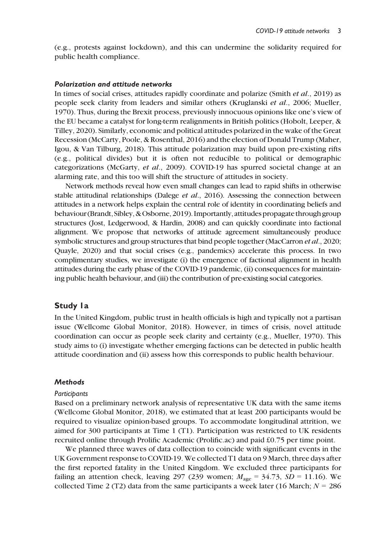(e.g., protests against lockdown), and this can undermine the solidarity required for public health compliance.

#### Polarization and attitude networks

In times of social crises, attitudes rapidly coordinate and polarize (Smith et al., 2019) as people seek clarity from leaders and similar others (Kruglanski et al., 2006; Mueller, 1970). Thus, during the Brexit process, previously innocuous opinions like one's view of the EU became a catalyst for long-term realignments in British politics (Hobolt, Leeper, & Tilley, 2020). Similarly, economic and political attitudes polarized in the wake of the Great Recession (McCarty, Poole, & Rosenthal, 2016) and the election of Donald Trump (Maher, Igou, & Van Tilburg, 2018). This attitude polarization may build upon pre-existing rifts (e.g., political divides) but it is often not reducible to political or demographic categorizations (McGarty, et al., 2009). COVID-19 has spurred societal change at an alarming rate, and this too will shift the structure of attitudes in society.

Network methods reveal how even small changes can lead to rapid shifts in otherwise stable attitudinal relationships (Dalege *et al.*, 2016). Assessing the connection between attitudes in a network helps explain the central role of identity in coordinating beliefs and behaviour (Brandt, Sibley, & Osborne, 2019). Importantly, attitudes propagate through group structures (Jost, Ledgerwood, & Hardin, 2008) and can quickly coordinate into factional alignment. We propose that networks of attitude agreement simultaneously produce symbolic structures and group structures that bind people together (MacCarron et al., 2020; Quayle, 2020) and that social crises (e.g., pandemics) accelerate this process. In two complimentary studies, we investigate (i) the emergence of factional alignment in health attitudes during the early phase of the COVID-19 pandemic, (ii) consequences for maintaining public health behaviour, and (iii) the contribution of pre-existing social categories.

#### Study 1a

In the United Kingdom, public trust in health officials is high and typically not a partisan issue (Wellcome Global Monitor, 2018). However, in times of crisis, novel attitude coordination can occur as people seek clarity and certainty (e.g., Mueller, 1970). This study aims to (i) investigate whether emerging factions can be detected in public health attitude coordination and (ii) assess how this corresponds to public health behaviour.

#### **Methods**

#### Participants

Based on a preliminary network analysis of representative UK data with the same items (Wellcome Global Monitor, 2018), we estimated that at least 200 participants would be required to visualize opinion-based groups. To accommodate longitudinal attrition, we aimed for 300 participants at Time 1 (T1). Participation was restricted to UK residents recruited online through Prolific Academic (Prolific.ac) and paid £0.75 per time point.

We planned three waves of data collection to coincide with significant events in the UK Government response to COVID-19. We collected T1 data on 9 March, three days after the first reported fatality in the United Kingdom. We excluded three participants for failing an attention check, leaving 297 (239 women;  $M_{\text{age}} = 34.73$ ,  $SD = 11.16$ ). We collected Time 2 (T2) data from the same participants a week later (16 March;  $N = 286$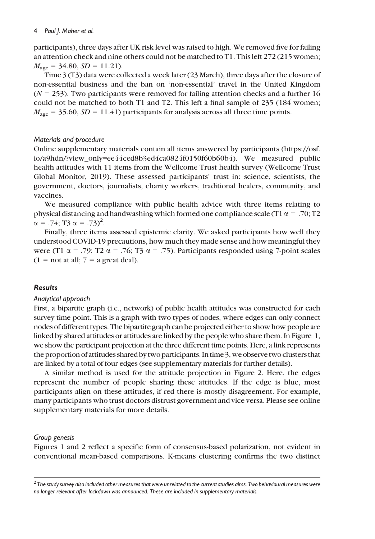#### 4 Paul J. Maher et al.

participants), three days after UK risk level was raised to high. We removed five for failing an attention check and nine others could not be matched to T1. This left 272 (215 women;  $M<sub>age</sub> = 34.80, SD = 11.21$ .

Time 3 (T3) data were collected a week later (23 March), three days after the closure of non-essential business and the ban on 'non-essential' travel in the United Kingdom  $(N = 253)$ . Two participants were removed for failing attention checks and a further 16 could not be matched to both T1 and T2. This left a final sample of 235 (184 women;  $M_{\text{age}} = 35.60, SD = 11.41$ ) participants for analysis across all three time points.

#### Materials and procedure

Online supplementary materials contain all items answered by participants [\(https://osf.](https://osf.io/a9hdn/?view_only=ee44ced8b3ed4ca0824f0150f60b60b4) io/a9hdn/?view\_only=[ee44ced8b3ed4ca0824f0150f60b60b4](https://osf.io/a9hdn/?view_only=ee44ced8b3ed4ca0824f0150f60b60b4)). We measured public health attitudes with 11 items from the Wellcome Trust health survey (Wellcome Trust Global Monitor, 2019). These assessed participants' trust in: science, scientists, the government, doctors, journalists, charity workers, traditional healers, community, and vaccines.

We measured compliance with public health advice with three items relating to physical distancing and handwashing which formed one compliance scale (T1  $\alpha$  = .70; T2  $\alpha = .74$ ; T<sub>3</sub>  $\alpha = .73$ <sup>2</sup>.<br>Finally three items

Finally, three items assessed epistemic clarity. We asked participants how well they understood COVID-19 precautions, how much they made sense and how meaningful they were (T1  $\alpha$  = .79; T2  $\alpha$  = .76; T3  $\alpha$  = .75). Participants responded using 7-point scales  $(1 = not at all; 7 = a great deal).$ 

#### Results

#### Analytical approach

First, a bipartite graph (i.e., network) of public health attitudes was constructed for each survey time point. This is a graph with two types of nodes, where edges can only connect nodes of different types. The bipartite graph can be projected either to show how people are linked by shared attitudes or attitudes are linked by the people who share them. In Figure 1, we show the participant projection at the three different time points. Here, a link represents the proportion of attitudes shared by two participants. In time  $3$ , we observe two clusters that are linked by a total of four edges (see supplementary materials for further details).

A similar method is used for the attitude projection in Figure 2. Here, the edges represent the number of people sharing these attitudes. If the edge is blue, most participants align on these attitudes, if red there is mostly disagreement. For example, many participants who trust doctors distrust government and vice versa. Please see online supplementary materials for more details.

#### Group genesis

Figures 1 and 2 reflect a specific form of consensus-based polarization, not evident in conventional mean-based comparisons. K-means clustering confirms the two distinct

 $2$  The study survey also included other measures that were unrelated to the current studies aims. Two behavioural measures were no longer relevant after lockdown was announced. These are included in supplementary materials.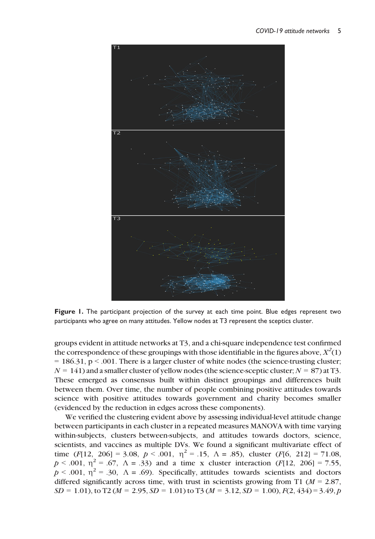

Figure 1. The participant projection of the survey at each time point. Blue edges represent two participants who agree on many attitudes. Yellow nodes at T3 represent the sceptics cluster.

groups evident in attitude networks at T3, and a chi-square independence test confirmed the correspondence of these groupings with those identifiable in the figures above,  $\mathbb{X}^2(1)$  $= 186.31$ , p  $\leq$  .001. There is a larger cluster of white nodes (the science-trusting cluster;  $N = 141$ ) and a smaller cluster of yellow nodes (the science-sceptic cluster;  $N = 87$ ) at T3. These emerged as consensus built within distinct groupings and differences built between them. Over time, the number of people combining positive attitudes towards science with positive attitudes towards government and charity becomes smaller (evidenced by the reduction in edges across these components).

We verified the clustering evident above by assessing individual-level attitude change between participants in each cluster in a repeated measures MANOVA with time varying within-subjects, clusters between-subjects, and attitudes towards doctors, science, scientists, and vaccines as multiple DVs. We found a significant multivariate effect of time (F[12, 206] = 3.08,  $p < .001$ ,  $\eta^2 = .15$ ,  $\Lambda = .85$ ), cluster (F[6, 212] = 71.08,  $p < .001$ ,  $\eta^2 = .67$ ,  $\Lambda = .33$ ) and a time x cluster interaction (F[12, 206] = 7.55,  $p < .001$ ,  $p^2 = .30$ ,  $\Lambda = .69$ ). Specifically, attitudes towards scientists and doctors differed significantly across time, with trust in scientists growing from T1 ( $M = 2.87$ ,  $SD = 1.01$ ), to T2 (M = 2.95, SD = 1.01) to T3 (M = 3.12, SD = 1.00),  $F(2, 434) = 3.49$ , p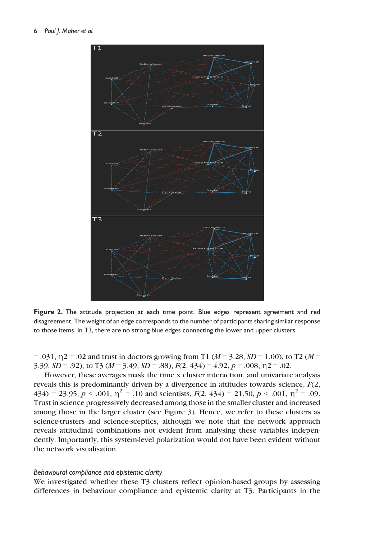

Figure 2. The attitude projection at each time point. Blue edges represent agreement and red disagreement. The weight of an edge corresponds to the number of participants sharing similar response to those items. In T3, there are no strong blue edges connecting the lower and upper clusters.

 $= .031, \eta$  2 = .02 and trust in doctors growing from T1 ( $M = 3.28, SD = 1.00$ ), to T2 ( $M = 1.00$ ) 3.39,  $SD = .92$ ), to T3 ( $M = 3.49$ ,  $SD = .88$ ),  $F(2, 434) = 4.92$ ,  $p = .008$ ,  $\eta = 0.02$ .

However, these averages mask the time x cluster interaction, and univariate analysis reveals this is predominantly driven by a divergence in attitudes towards science,  $F(2)$ ,  $434$ ) = 23.95,  $p < .001$ ,  $\eta^2$  = .10 and scientists,  $F(2, 434)$  = 21.50,  $p < .001$ ,  $\eta^2$  = .09. Trust in science progressively decreased among those in the smaller cluster and increased among those in the larger cluster (see Figure 3). Hence, we refer to these clusters as science-trusters and science-sceptics, although we note that the network approach reveals attitudinal combinations not evident from analysing these variables independently. Importantly, this system-level polarization would not have been evident without the network visualisation.

#### Behavioural compliance and epistemic clarity

We investigated whether these T3 clusters reflect opinion-based groups by assessing differences in behaviour compliance and epistemic clarity at T3. Participants in the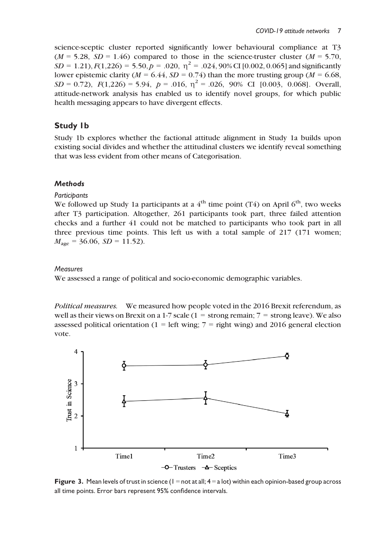science-sceptic cluster reported significantly lower behavioural compliance at T3  $(M = 5.28, SD = 1.46)$  compared to those in the science-truster cluster  $(M = 5.70,$  $SD = 1.21$ ,  $F(1,226) = 5.50$ ,  $p = .020$ ,  $\eta^2 = .024$ , 90% CI [0.002, 0.065] and significantly lower epistemic clarity ( $M = 6.44$ ,  $SD = 0.74$ ) than the more trusting group ( $M = 6.68$ ,  $SD = 0.72$ ),  $F(1,226) = 5.94$ ,  $p = .016$ ,  $\eta^2 = .026$ , 90% CI [0.003, 0.068]. Overall, attitude-network analysis has enabled us to identify novel groups, for which public health messaging appears to have divergent effects.

## Study 1b

Study 1b explores whether the factional attitude alignment in Study 1a builds upon existing social divides and whether the attitudinal clusters we identify reveal something that was less evident from other means of Categorisation.

## **Methods**

### **Particibants**

We followed up Study 1a participants at a  $4<sup>th</sup>$  time point (T4) on April 6<sup>th</sup>, two weeks after T3 participation. Altogether, 261 participants took part, three failed attention checks and a further 41 could not be matched to participants who took part in all three previous time points. This left us with a total sample of 217 (171 women;  $M_{\text{age}} = 36.06$ ,  $SD = 11.52$ ).

### **Measures**

We assessed a range of political and socio-economic demographic variables.

Political measures. We measured how people voted in the 2016 Brexit referendum, as well as their views on Brexit on a 1-7 scale (1 = strong remain;  $7 =$  strong leave). We also assessed political orientation (1 = left wing; 7 = right wing) and 2016 general election vote.



Figure 3. Mean levels of trust in science ( $1 =$  not at all;  $4 =$  a lot) within each opinion-based group across all time points. Error bars represent 95% confidence intervals.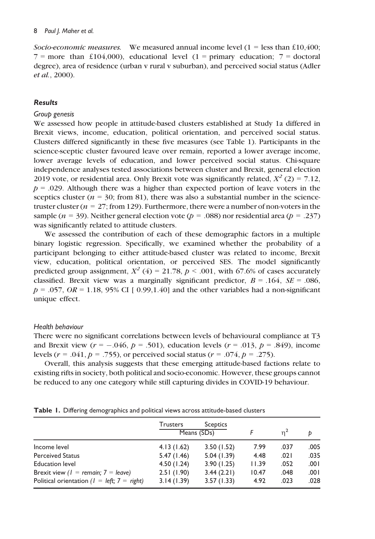Socio-economic measures. We measured annual income level  $(1 =$  less than £10,400;  $7 =$  more than £104,000), educational level (1 = primary education;  $7 =$  doctoral degree), area of residence (urban v rural v suburban), and perceived social status (Adler et al., 2000).

#### Results

#### Group genesis

We assessed how people in attitude-based clusters established at Study 1a differed in Brexit views, income, education, political orientation, and perceived social status. Clusters differed significantly in these five measures (see Table 1). Participants in the science-sceptic cluster favoured leave over remain, reported a lower average income, lower average levels of education, and lower perceived social status. Chi-square independence analyses tested associations between cluster and Brexit, general election 2019 vote, or residential area. Only Brexit vote was significantly related,  $X^2$  (2) = 7.12,  $p = .029$ . Although there was a higher than expected portion of leave voters in the sceptics cluster ( $n = 30$ ; from 81), there was also a substantial number in the sciencetruster cluster ( $n = 27$ ; from 129). Furthermore, there were a number of non-voters in the sample ( $n = 39$ ). Neither general election vote ( $p = .088$ ) nor residential area ( $p = .237$ ) was significantly related to attitude clusters.

We assessed the contribution of each of these demographic factors in a multiple binary logistic regression. Specifically, we examined whether the probability of a participant belonging to either attitude-based cluster was related to income, Brexit view, education, political orientation, or perceived SES. The model significantly predicted group assignment,  $X^2$  (4) = 21.78,  $p < .001$ , with 67.6% of cases accurately classified. Brexit view was a marginally significant predictor,  $B = .164$ ,  $SE = .086$ ,  $p = .057$ ,  $OR = 1.18$ , 95% CI [ 0.99,1.40] and the other variables had a non-significant unique effect.

#### Health behaviour

There were no significant correlations between levels of behavioural compliance at T3 and Brexit view  $(r = -.046, p = .501)$ , education levels  $(r = .013, p = .849)$ , income levels ( $r = .041$ ,  $p = .755$ ), or perceived social status ( $r = .074$ ,  $p = .275$ ).

Overall, this analysis suggests that these emerging attitude-based factions relate to existing rifts in society, both political and socio-economic. However, these groups cannot be reduced to any one category while still capturing divides in COVID-19 behaviour.

Perceived Status 5.47 (1.46) 5.04 (1.39) 4.48 .021 .035 Education level 4.50 (1.24) 3.90 (1.25) 11.39 .052 .001 Brexit view ( $1 =$  remain;  $7 =$  leave) 2.51 (1.90) 3.44 (2.21) 10.47 .048 .001 Political orientation ( $l = left$ ;  $7 = right$ ) 3.14 (1.39) 3.57 (1.33) 4.92 .023 .028

|              | Trusters   | Sceptics    |      |      |      |
|--------------|------------|-------------|------|------|------|
|              |            | Means (SDs) |      |      |      |
| Income level | 4.13(1.62) | 3.50(1.52)  | 7.99 | .037 | .005 |

Table 1. Differing demographics and political views across attitude-based clusters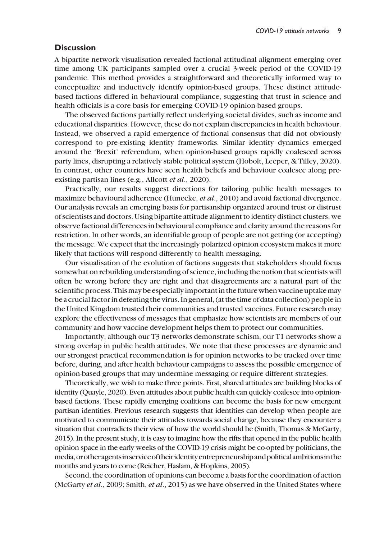## **Discussion**

A bipartite network visualisation revealed factional attitudinal alignment emerging over time among UK participants sampled over a crucial 3-week period of the COVID-19 pandemic. This method provides a straightforward and theoretically informed way to conceptualize and inductively identify opinion-based groups. These distinct attitudebased factions differed in behavioural compliance, suggesting that trust in science and health officials is a core basis for emerging COVID-19 opinion-based groups.

The observed factions partially reflect underlying societal divides, such as income and educational disparities. However, these do not explain discrepancies in health behaviour. Instead, we observed a rapid emergence of factional consensus that did not obviously correspond to pre-existing identity frameworks. Similar identity dynamics emerged around the 'Brexit' referendum, when opinion-based groups rapidly coalesced across party lines, disrupting a relatively stable political system (Hobolt, Leeper, & Tilley, 2020). In contrast, other countries have seen health beliefs and behaviour coalesce along preexisting partisan lines (e.g., Allcott et al., 2020).

Practically, our results suggest directions for tailoring public health messages to maximize behavioural adherence (Hunecke, et al., 2010) and avoid factional divergence. Our analysis reveals an emerging basis for partisanship organized around trust or distrust of scientists and doctors. Using bipartite attitude alignment to identity distinct clusters, we observe factional differences in behavioural compliance and clarity around the reasons for restriction. In other words, an identifiable group of people are not getting (or accepting) the message. We expect that the increasingly polarized opinion ecosystem makes it more likely that factions will respond differently to health messaging.

Our visualisation of the evolution of factions suggests that stakeholders should focus somewhat on rebuilding understanding of science, including the notion that scientists will often be wrong before they are right and that disagreements are a natural part of the scientific process. Thismay be especially important in the future when vaccine uptake may be a crucial factor in defeating the virus. In general, (at the time of data collection) people in the United Kingdom trusted their communities and trusted vaccines. Future research may explore the effectiveness of messages that emphasize how scientists are members of our community and how vaccine development helps them to protect our communities.

Importantly, although our T3 networks demonstrate schism, our T1 networks show a strong overlap in public health attitudes. We note that these processes are dynamic and our strongest practical recommendation is for opinion networks to be tracked over time before, during, and after health behaviour campaigns to assess the possible emergence of opinion-based groups that may undermine messaging or require different strategies.

Theoretically, we wish to make three points. First, shared attitudes are building blocks of identity (Quayle, 2020). Even attitudes about public health can quickly coalesce into opinionbased factions. These rapidly emerging coalitions can become the basis for new emergent partisan identities. Previous research suggests that identities can develop when people are motivated to communicate their attitudes towards social change, because they encounter a situation that contradicts their view of how the world should be (Smith, Thomas & McGarty, 2015). In the present study, it is easy to imagine how the rifts that opened in the public health opinion space in the early weeks of the COVID-19 crisis might be co-opted by politicians, the media,orotheragentsinserviceof theiridentityentrepreneurshipandpoliticalambitionsin the months and years to come (Reicher, Haslam, & Hopkins, 2005).

Second, the coordination of opinions can become a basis for the coordination of action (McGarty et al., 2009; Smith, et al., 2015) as we have observed in the United States where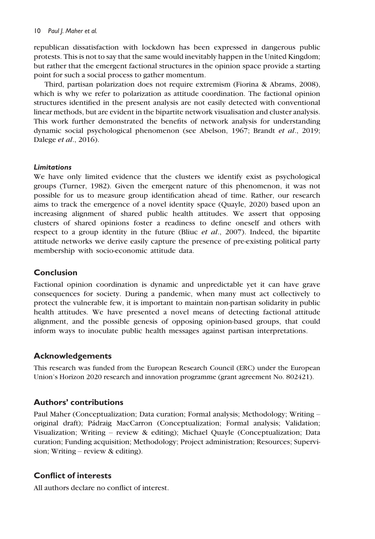#### 10 Paul J. Maher et al.

republican dissatisfaction with lockdown has been expressed in dangerous public protests. This is not to say that the same would inevitably happen in the United Kingdom; but rather that the emergent factional structures in the opinion space provide a starting point for such a social process to gather momentum.

Third, partisan polarization does not require extremism (Fiorina & Abrams, 2008), which is why we refer to polarization as attitude coordination. The factional opinion structures identified in the present analysis are not easily detected with conventional linear methods, but are evident in the bipartite network visualisation and cluster analysis. This work further demonstrated the benefits of network analysis for understanding dynamic social psychological phenomenon (see Abelson, 1967; Brandt et al., 2019; Dalege et al., 2016).

### Limitations

We have only limited evidence that the clusters we identify exist as psychological groups (Turner, 1982). Given the emergent nature of this phenomenon, it was not possible for us to measure group identification ahead of time. Rather, our research aims to track the emergence of a novel identity space (Quayle, 2020) based upon an increasing alignment of shared public health attitudes. We assert that opposing clusters of shared opinions foster a readiness to define oneself and others with respect to a group identity in the future (Bliuc *et al.*, 2007). Indeed, the bipartite attitude networks we derive easily capture the presence of pre-existing political party membership with socio-economic attitude data.

## Conclusion

Factional opinion coordination is dynamic and unpredictable yet it can have grave consequences for society. During a pandemic, when many must act collectively to protect the vulnerable few, it is important to maintain non-partisan solidarity in public health attitudes. We have presented a novel means of detecting factional attitude alignment, and the possible genesis of opposing opinion-based groups, that could inform ways to inoculate public health messages against partisan interpretations.

## Acknowledgements

This research was funded from the European Research Council (ERC) under the European Union's Horizon 2020 research and innovation programme (grant agreement No. 802421).

## Authors' contributions

Paul Maher (Conceptualization; Data curation; Formal analysis; Methodology; Writing – original draft); Padraig MacCarron (Conceptualization; Formal analysis; Validation; Visualization; Writing – review & editing); Michael Quayle (Conceptualization; Data curation; Funding acquisition; Methodology; Project administration; Resources; Supervision; Writing – review & editing).

## Conflict of interests

All authors declare no conflict of interest.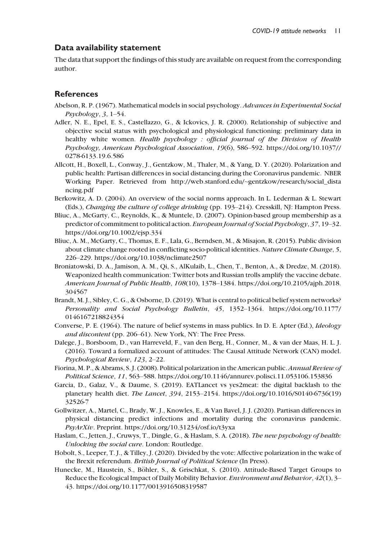### Data availability statement

The data that support the findings of this study are available on request from the corresponding author.

## **References**

- Abelson, R. P. (1967). Mathematical models in social psychology. Advances in Experimental Social  $Psychology, 3, 1–54.$
- Adler, N. E., Epel, E. S., Castellazzo, G., & Ickovics, J. R. (2000). Relationship of subjective and objective social status with psychological and physiological functioning: preliminary data in healthy white women. Health psychology : official journal of the Division of Health Psychology, American Psychological Association, 19(6), 586–592. [https://doi.org/10.1037//](https://doi.org/10.1037//0278-6133.19.6.586) [0278-6133.19.6.586](https://doi.org/10.1037//0278-6133.19.6.586)
- Allcott, H., Boxell, L., Conway, J., Gentzkow, M., Thaler, M., & Yang, D. Y. (2020). Polarization and public health: Partisan differences in social distancing during the Coronavirus pandemic. NBER Working Paper. Retrieved from http://web.stanford.edu/~[gentzkow/research/social\\_dista](http://web.stanford.edu/%7Egentzkow/research/social_distancing.pdf) [ncing.pdf](http://web.stanford.edu/%7Egentzkow/research/social_distancing.pdf)
- Berkowitz, A. D. (2004). An overview of the social norms approach. In L. Lederman & L. Stewart (Eds.), Changing the culture of college drinking (pp. 193–214). Cresskill, NJ: Hampton Press.
- Bliuc, A., McGarty, C., Reynolds, K., & Muntele, D. (2007). Opinion-based group membership as a predictor of commitment to political action. European Journal of Social Psychology, 37, 19–32. <https://doi.org/10.1002/ejsp.334>
- Bliuc, A. M., McGarty, C., Thomas, E. F., Lala, G., Berndsen, M., & Misajon, R. (2015). Public division about climate change rooted in conflicting socio-political identities. Nature Climate Change, 5, 226–229.<https://doi.org/10.1038/nclimate2507>
- Broniatowski, D. A., Jamison, A. M., Qi, S., AlKulaib, L., Chen, T., Benton, A., & Dredze, M. (2018). Weaponized health communication: Twitter bots and Russian trolls amplify the vaccine debate. American Journal of Public Health, 108(10), 1378–1384. [https://doi.org/10.2105/ajph.2018.](https://doi.org/10.2105/ajph.2018.304567) [304567](https://doi.org/10.2105/ajph.2018.304567)
- Brandt, M. J., Sibley, C. G., & Osborne, D. (2019). What is central to political belief system networks? Personality and Social Psychology Bulletin, 45, 1352–1364. [https://doi.org/10.1177/](https://doi.org/10.1177/0146167218824354) [0146167218824354](https://doi.org/10.1177/0146167218824354)
- Converse, P. E. (1964). The nature of belief systems in mass publics. In D. E. Apter (Ed.), Ideology and discontent (pp. 206–61). New York, NY: The Free Press.
- Dalege, J., Borsboom, D., van Harreveld, F., van den Berg, H., Conner, M., & van der Maas, H. L. J. (2016). Toward a formalized account of attitudes: The Causal Attitude Network (CAN) model. Psychological Review, 123, 2–22.
- Fiorina, M. P., & Abrams, S. J. (2008). Political polarization in the American public. Annual Review of Political Science, 11, 563–588.<https://doi.org/10.1146/annurev.polisci.11.053106.153836>
- Garcia, D., Galaz, V., & Daume, S. (2019). EATLancet vs yes2meat: the digital backlash to the planetary health diet. The Lancet, 394, 2153–2154. [https://doi.org/10.1016/S0140-6736\(19\)](https://doi.org/10.1016/S0140-6736(19)32526-7) [32526-7](https://doi.org/10.1016/S0140-6736(19)32526-7)
- Gollwitzer, A., Martel, C., Brady, W. J., Knowles, E., & Van Bavel, J. J. (2020). Partisan differences in physical distancing predict infections and mortality during the coronavirus pandemic. PsyArXiv. Preprint.<https://doi.org/10.31234/osf.io/t3yxa>
- Haslam, C., Jetten, J., Cruwys, T., Dingle, G., & Haslam, S. A. (2018). The new psychology of health: Unlocking the social cure. London: Routledge.
- Hobolt, S., Leeper, T. J., & Tilley, J. (2020). Divided by the vote: Affective polarization in the wake of the Brexit referendum. British Journal of Political Science (In Press).
- Hunecke, M., Haustein, S., Böhler, S., & Grischkat, S. (2010). Attitude-Based Target Groups to Reduce the Ecological Impact of Daily Mobility Behavior. Environment and Behavior, 42(1), 3– 43.<https://doi.org/10.1177/0013916508319587>